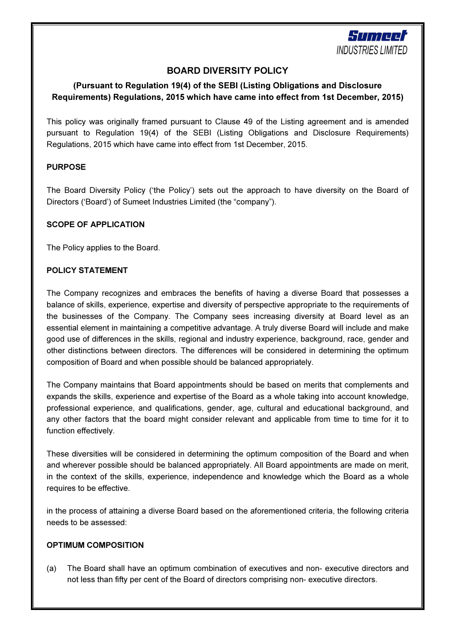

# BOARD DIVERSITY POLICY

# (Pursuant to Regulation 19(4) of the SEBI (Listing Obligations and Disclosure Requirements) Regulations, 2015 which have came into effect from 1st December, 2015)

This policy was originally framed pursuant to Clause 49 of the Listing agreement and is amended pursuant to Regulation 19(4) of the SEBI (Listing Obligations and Disclosure Requirements) Regulations, 2015 which have came into effect from 1st December, 2015.

### PURPOSE

The Board Diversity Policy ('the Policy') sets out the approach to have diversity on the Board of Directors ('Board') of Sumeet Industries Limited (the "company").

### SCOPE OF APPLICATION

The Policy applies to the Board.

### POLICY STATEMENT

The Company recognizes and embraces the benefits of having a diverse Board that possesses a balance of skills, experience, expertise and diversity of perspective appropriate to the requirements of the businesses of the Company. The Company sees increasing diversity at Board level as an essential element in maintaining a competitive advantage. A truly diverse Board will include and make good use of differences in the skills, regional and industry experience, background, race, gender and other distinctions between directors. The differences will be considered in determining the optimum composition of Board and when possible should be balanced appropriately.

The Company maintains that Board appointments should be based on merits that complements and expands the skills, experience and expertise of the Board as a whole taking into account knowledge, professional experience, and qualifications, gender, age, cultural and educational background, and any other factors that the board might consider relevant and applicable from time to time for it to function effectively.

These diversities will be considered in determining the optimum composition of the Board and when and wherever possible should be balanced appropriately. All Board appointments are made on merit, in the context of the skills, experience, independence and knowledge which the Board as a whole requires to be effective.

in the process of attaining a diverse Board based on the aforementioned criteria, the following criteria needs to be assessed:

#### OPTIMUM COMPOSITION

(a) The Board shall have an optimum combination of executives and non- executive directors and not less than fifty per cent of the Board of directors comprising non- executive directors.